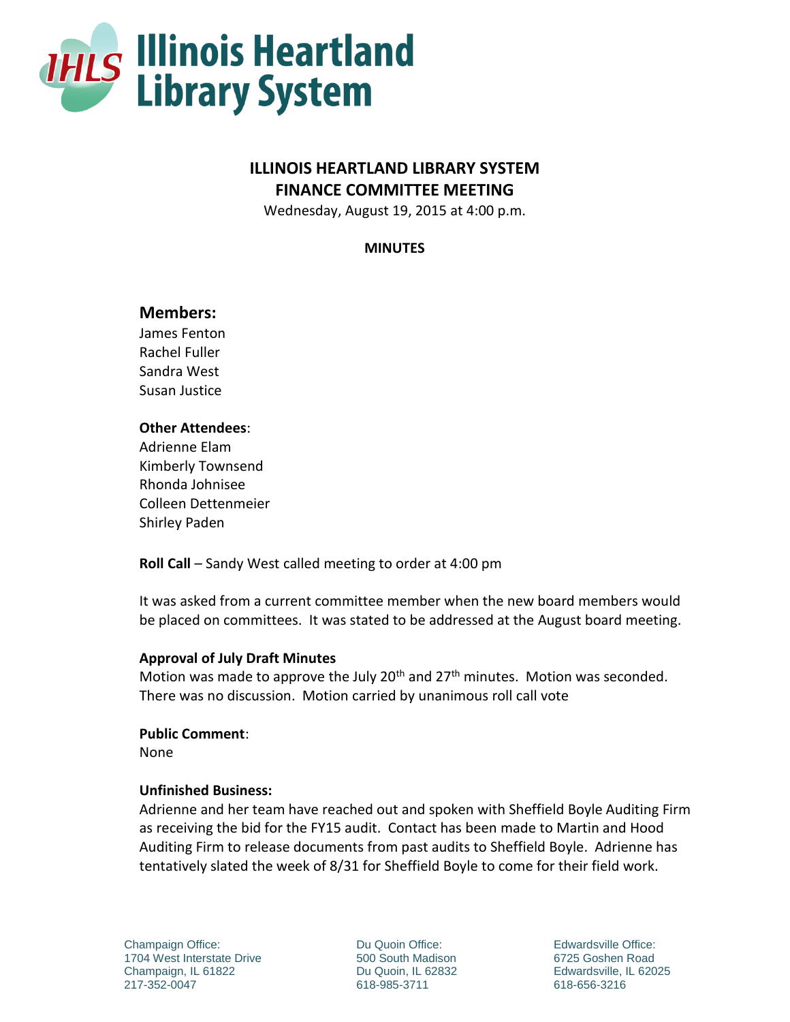

# **ILLINOIS HEARTLAND LIBRARY SYSTEM FINANCE COMMITTEE MEETING**

Wednesday, August 19, 2015 at 4:00 p.m.

**MINUTES**

# **Members:**

James Fenton Rachel Fuller Sandra West Susan Justice

## **Other Attendees**:

Adrienne Elam Kimberly Townsend Rhonda Johnisee Colleen Dettenmeier Shirley Paden

**Roll Call** – Sandy West called meeting to order at 4:00 pm

It was asked from a current committee member when the new board members would be placed on committees. It was stated to be addressed at the August board meeting.

## **Approval of July Draft Minutes**

Motion was made to approve the July  $20<sup>th</sup>$  and  $27<sup>th</sup>$  minutes. Motion was seconded. There was no discussion. Motion carried by unanimous roll call vote

## **Public Comment**:

None

## **Unfinished Business:**

Adrienne and her team have reached out and spoken with Sheffield Boyle Auditing Firm as receiving the bid for the FY15 audit. Contact has been made to Martin and Hood Auditing Firm to release documents from past audits to Sheffield Boyle. Adrienne has tentatively slated the week of 8/31 for Sheffield Boyle to come for their field work.

Champaign Office: 1704 West Interstate Drive Champaign, IL 61822 217-352-0047

Du Quoin Office: 500 South Madison Du Quoin, IL 62832 618-985-3711

Edwardsville Office: 6725 Goshen Road Edwardsville, IL 62025 618-656-3216